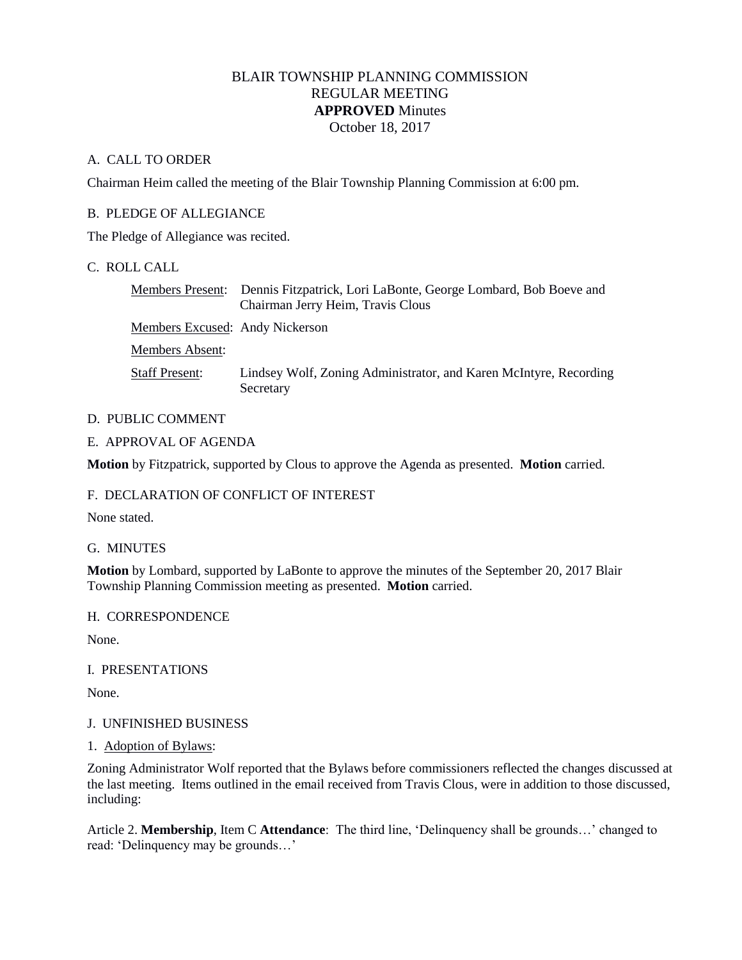# BLAIR TOWNSHIP PLANNING COMMISSION REGULAR MEETING **APPROVED** Minutes October 18, 2017

### A. CALL TO ORDER

Chairman Heim called the meeting of the Blair Township Planning Commission at 6:00 pm.

## B. PLEDGE OF ALLEGIANCE

The Pledge of Allegiance was recited.

# C. ROLL CALL

Members Present: Dennis Fitzpatrick, Lori LaBonte, George Lombard, Bob Boeve and Chairman Jerry Heim, Travis Clous Members Excused: Andy Nickerson Members Absent: Staff Present: Lindsey Wolf, Zoning Administrator, and Karen McIntyre, Recording **Secretary** 

## D. PUBLIC COMMENT

### E. APPROVAL OF AGENDA

**Motion** by Fitzpatrick, supported by Clous to approve the Agenda as presented. **Motion** carried.

### F. DECLARATION OF CONFLICT OF INTEREST

None stated.

### G. MINUTES

**Motion** by Lombard, supported by LaBonte to approve the minutes of the September 20, 2017 Blair Township Planning Commission meeting as presented. **Motion** carried.

### H. CORRESPONDENCE

None.

### I. PRESENTATIONS

None.

### J. UNFINISHED BUSINESS

### 1. Adoption of Bylaws:

Zoning Administrator Wolf reported that the Bylaws before commissioners reflected the changes discussed at the last meeting. Items outlined in the email received from Travis Clous, were in addition to those discussed, including:

Article 2. **Membership**, Item C **Attendance**: The third line, 'Delinquency shall be grounds…' changed to read: 'Delinquency may be grounds…'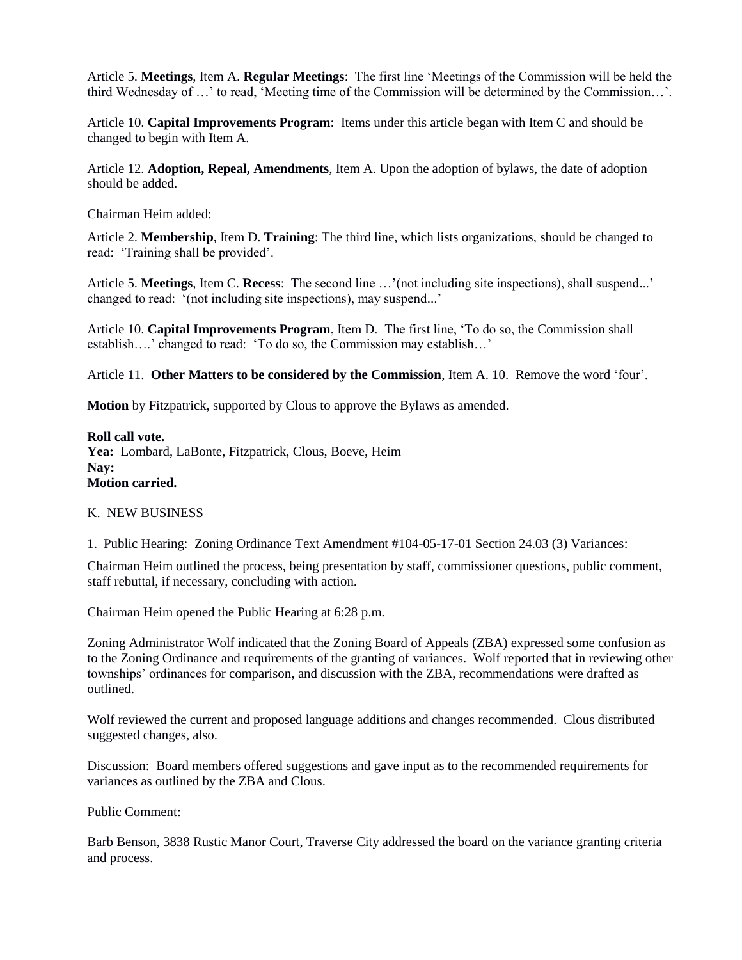Article 5. **Meetings**, Item A. **Regular Meetings**: The first line 'Meetings of the Commission will be held the third Wednesday of …' to read, 'Meeting time of the Commission will be determined by the Commission…'.

Article 10. **Capital Improvements Program**: Items under this article began with Item C and should be changed to begin with Item A.

Article 12. **Adoption, Repeal, Amendments**, Item A. Upon the adoption of bylaws, the date of adoption should be added.

Chairman Heim added:

Article 2. **Membership**, Item D. **Training**: The third line, which lists organizations, should be changed to read: 'Training shall be provided'.

Article 5. **Meetings**, Item C. **Recess**: The second line …'(not including site inspections), shall suspend...' changed to read: '(not including site inspections), may suspend...'

Article 10. **Capital Improvements Program**, Item D. The first line, 'To do so, the Commission shall establish….' changed to read: 'To do so, the Commission may establish…'

Article 11. **Other Matters to be considered by the Commission**, Item A. 10. Remove the word 'four'.

**Motion** by Fitzpatrick, supported by Clous to approve the Bylaws as amended.

**Roll call vote.**  Yea: Lombard, LaBonte, Fitzpatrick, Clous, Boeve, Heim **Nay:** 

**Motion carried.**

#### K. NEW BUSINESS

1. Public Hearing: Zoning Ordinance Text Amendment #104-05-17-01 Section 24.03 (3) Variances:

Chairman Heim outlined the process, being presentation by staff, commissioner questions, public comment, staff rebuttal, if necessary, concluding with action.

Chairman Heim opened the Public Hearing at 6:28 p.m.

Zoning Administrator Wolf indicated that the Zoning Board of Appeals (ZBA) expressed some confusion as to the Zoning Ordinance and requirements of the granting of variances. Wolf reported that in reviewing other townships' ordinances for comparison, and discussion with the ZBA, recommendations were drafted as outlined.

Wolf reviewed the current and proposed language additions and changes recommended. Clous distributed suggested changes, also.

Discussion: Board members offered suggestions and gave input as to the recommended requirements for variances as outlined by the ZBA and Clous.

Public Comment:

Barb Benson, 3838 Rustic Manor Court, Traverse City addressed the board on the variance granting criteria and process.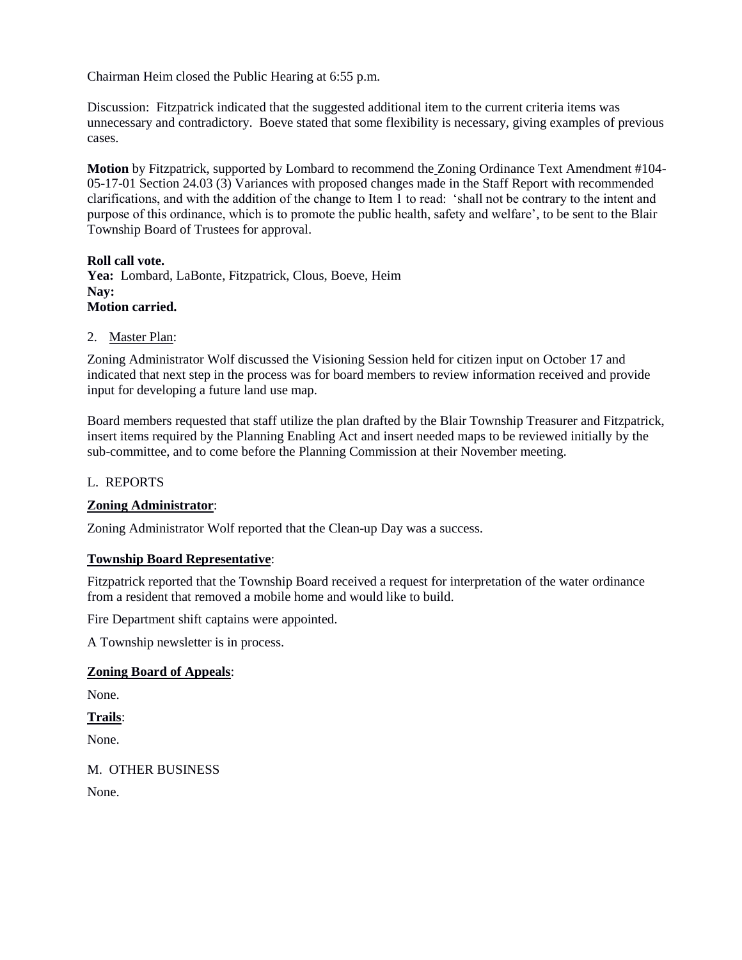Chairman Heim closed the Public Hearing at 6:55 p.m.

Discussion: Fitzpatrick indicated that the suggested additional item to the current criteria items was unnecessary and contradictory. Boeve stated that some flexibility is necessary, giving examples of previous cases.

**Motion** by Fitzpatrick, supported by Lombard to recommend the Zoning Ordinance Text Amendment #104- 05-17-01 Section 24.03 (3) Variances with proposed changes made in the Staff Report with recommended clarifications, and with the addition of the change to Item 1 to read: 'shall not be contrary to the intent and purpose of this ordinance, which is to promote the public health, safety and welfare', to be sent to the Blair Township Board of Trustees for approval.

### **Roll call vote.**

**Yea:** Lombard, LaBonte, Fitzpatrick, Clous, Boeve, Heim **Nay: Motion carried.**

#### 2. Master Plan:

Zoning Administrator Wolf discussed the Visioning Session held for citizen input on October 17 and indicated that next step in the process was for board members to review information received and provide input for developing a future land use map.

Board members requested that staff utilize the plan drafted by the Blair Township Treasurer and Fitzpatrick, insert items required by the Planning Enabling Act and insert needed maps to be reviewed initially by the sub-committee, and to come before the Planning Commission at their November meeting.

#### L. REPORTS

### **Zoning Administrator**:

Zoning Administrator Wolf reported that the Clean-up Day was a success.

### **Township Board Representative**:

Fitzpatrick reported that the Township Board received a request for interpretation of the water ordinance from a resident that removed a mobile home and would like to build.

Fire Department shift captains were appointed.

A Township newsletter is in process.

### **Zoning Board of Appeals**:

None.

# **Trails**:

None.

M. OTHER BUSINESS

None.